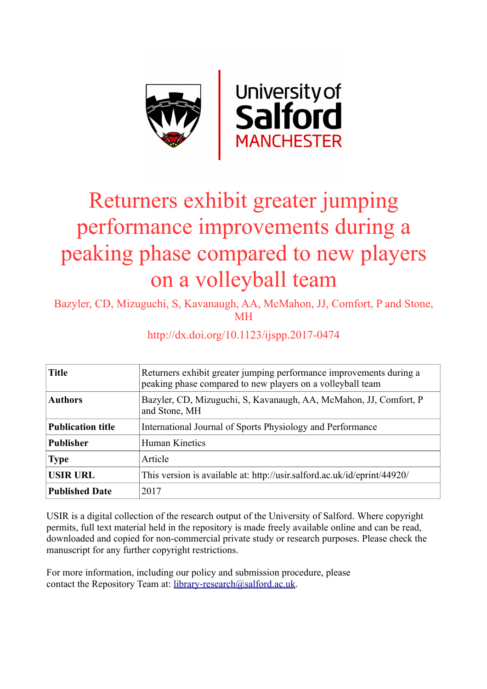

# Returners exhibit greater jumping performance improvements during a peaking phase compared to new players on a volleyball team

Bazyler, CD, Mizuguchi, S, Kavanaugh, AA, McMahon, JJ, Comfort, P and Stone, MH

http://dx.doi.org/10.1123/ijspp.2017-0474

| <b>Title</b>             | Returners exhibit greater jumping performance improvements during a<br>peaking phase compared to new players on a volleyball team |  |  |  |  |  |
|--------------------------|-----------------------------------------------------------------------------------------------------------------------------------|--|--|--|--|--|
| <b>Authors</b>           | Bazyler, CD, Mizuguchi, S, Kavanaugh, AA, McMahon, JJ, Comfort, P<br>and Stone, MH                                                |  |  |  |  |  |
| <b>Publication title</b> | International Journal of Sports Physiology and Performance                                                                        |  |  |  |  |  |
| <b>Publisher</b>         | Human Kinetics                                                                                                                    |  |  |  |  |  |
| <b>Type</b>              | Article                                                                                                                           |  |  |  |  |  |
| <b>USIR URL</b>          | This version is available at: http://usir.salford.ac.uk/id/eprint/44920/                                                          |  |  |  |  |  |
| <b>Published Date</b>    | 2017                                                                                                                              |  |  |  |  |  |

USIR is a digital collection of the research output of the University of Salford. Where copyright permits, full text material held in the repository is made freely available online and can be read, downloaded and copied for non-commercial private study or research purposes. Please check the manuscript for any further copyright restrictions.

For more information, including our policy and submission procedure, please contact the Repository Team at: [library-research@salford.ac.uk.](mailto:library-research@salford.ac.uk)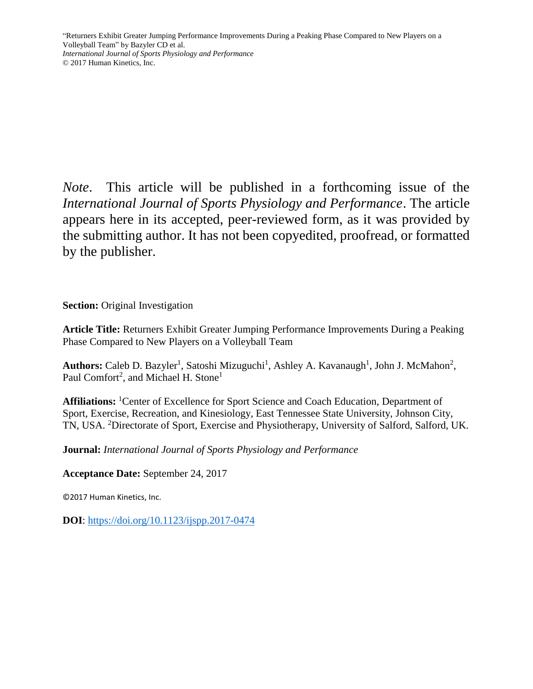*Note*. This article will be published in a forthcoming issue of the *International Journal of Sports Physiology and Performance*. The article appears here in its accepted, peer-reviewed form, as it was provided by the submitting author. It has not been copyedited, proofread, or formatted by the publisher.

**Section:** Original Investigation

**Article Title:** Returners Exhibit Greater Jumping Performance Improvements During a Peaking Phase Compared to New Players on a Volleyball Team

Authors: Caleb D. Bazyler<sup>1</sup>, Satoshi Mizuguchi<sup>1</sup>, Ashley A. Kavanaugh<sup>1</sup>, John J. McMahon<sup>2</sup>, Paul Comfort<sup>2</sup>, and Michael H. Stone<sup>1</sup>

**Affiliations:** <sup>1</sup>Center of Excellence for Sport Science and Coach Education, Department of Sport, Exercise, Recreation, and Kinesiology, East Tennessee State University, Johnson City, TN, USA. <sup>2</sup>Directorate of Sport, Exercise and Physiotherapy, University of Salford, Salford, UK.

**Journal:** *International Journal of Sports Physiology and Performance*

**Acceptance Date:** September 24, 2017

©2017 Human Kinetics, Inc.

**DOI**:<https://doi.org/10.1123/ijspp.2017-0474>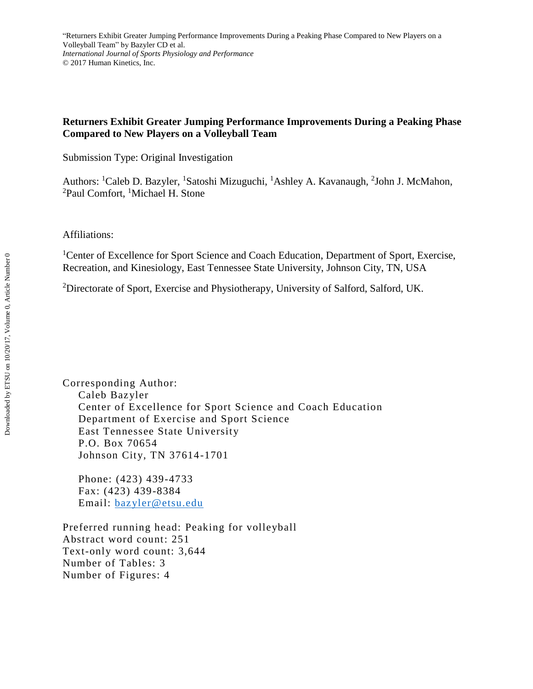# **Returners Exhibit Greater Jumping Performance Improvements During a Peaking Phase Compared to New Players on a Volleyball Team**

Submission Type: Original Investigation

Authors: <sup>1</sup>Caleb D. Bazyler, <sup>1</sup>Satoshi Mizuguchi, <sup>1</sup>Ashley A. Kavanaugh, <sup>2</sup>John J. McMahon, <sup>2</sup>Paul Comfort, <sup>1</sup>Michael H. Stone

Affiliations:

<sup>1</sup>Center of Excellence for Sport Science and Coach Education, Department of Sport, Exercise, Recreation, and Kinesiology, East Tennessee State University, Johnson City, TN, USA

<sup>2</sup>Directorate of Sport, Exercise and Physiotherapy, University of Salford, Salford, UK.

Corresponding Author: Caleb Bazyler Center of Excellence for Sport Science and Coach Education Department of Exercise and Sport Science East Tennessee State University P.O. Box 70654 Johnson City, TN 37614-1701

Phone: (423) 439-4733 Fax: (423) 439-8384 Email: [bazyler@etsu.edu](mailto:bazyler@goldmail.etsu.edu)

Preferred running head: Peaking for volleyball Abstract word count: 251 Text-only word count: 3,644 Number of Tables: 3 Number of Figures: 4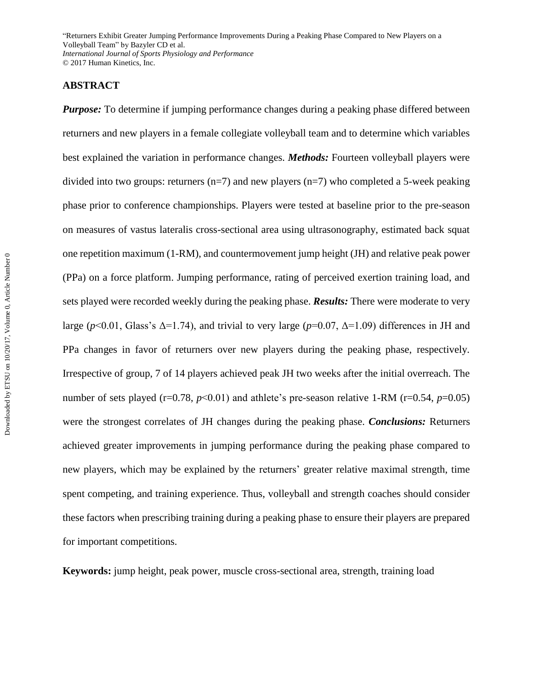# **ABSTRACT**

*Purpose:* To determine if jumping performance changes during a peaking phase differed between returners and new players in a female collegiate volleyball team and to determine which variables best explained the variation in performance changes. *Methods:* Fourteen volleyball players were divided into two groups: returners  $(n=7)$  and new players  $(n=7)$  who completed a 5-week peaking phase prior to conference championships. Players were tested at baseline prior to the pre-season on measures of vastus lateralis cross-sectional area using ultrasonography, estimated back squat one repetition maximum (1-RM), and countermovement jump height (JH) and relative peak power (PPa) on a force platform. Jumping performance, rating of perceived exertion training load, and sets played were recorded weekly during the peaking phase. *Results:* There were moderate to very large ( $p$ <0.01, Glass's  $\Delta$ =1.74), and trivial to very large ( $p$ =0.07,  $\Delta$ =1.09) differences in JH and PPa changes in favor of returners over new players during the peaking phase, respectively. Irrespective of group, 7 of 14 players achieved peak JH two weeks after the initial overreach. The number of sets played (r=0.78,  $p$ <0.01) and athlete's pre-season relative 1-RM (r=0.54,  $p$ =0.05) were the strongest correlates of JH changes during the peaking phase. *Conclusions:* Returners achieved greater improvements in jumping performance during the peaking phase compared to new players, which may be explained by the returners' greater relative maximal strength, time spent competing, and training experience. Thus, volleyball and strength coaches should consider these factors when prescribing training during a peaking phase to ensure their players are prepared for important competitions.

**Keywords:** jump height, peak power, muscle cross-sectional area, strength, training load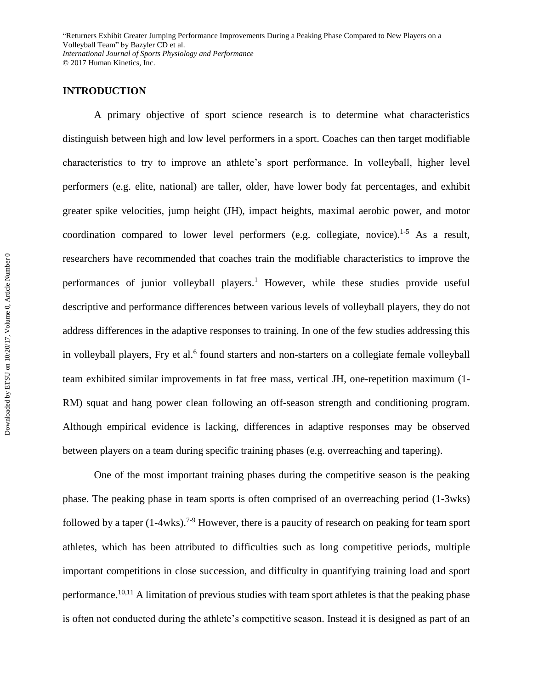# **INTRODUCTION**

A primary objective of sport science research is to determine what characteristics distinguish between high and low level performers in a sport. Coaches can then target modifiable characteristics to try to improve an athlete's sport performance. In volleyball, higher level performers (e.g. elite, national) are taller, older, have lower body fat percentages, and exhibit greater spike velocities, jump height (JH), impact heights, maximal aerobic power, and motor coordination compared to lower level performers (e.g. collegiate, novice).<sup>1-5</sup> As a result, researchers have recommended that coaches train the modifiable characteristics to improve the performances of junior volleyball players.<sup>1</sup> However, while these studies provide useful descriptive and performance differences between various levels of volleyball players, they do not address differences in the adaptive responses to training. In one of the few studies addressing this in volleyball players, Fry et al.<sup>6</sup> found starters and non-starters on a collegiate female volleyball team exhibited similar improvements in fat free mass, vertical JH, one-repetition maximum (1- RM) squat and hang power clean following an off-season strength and conditioning program. Although empirical evidence is lacking, differences in adaptive responses may be observed between players on a team during specific training phases (e.g. overreaching and tapering).

One of the most important training phases during the competitive season is the peaking phase. The peaking phase in team sports is often comprised of an overreaching period (1-3wks) followed by a taper (1-4wks).<sup>7-9</sup> However, there is a paucity of research on peaking for team sport athletes, which has been attributed to difficulties such as long competitive periods, multiple important competitions in close succession, and difficulty in quantifying training load and sport performance.<sup>10,11</sup> A limitation of previous studies with team sport athletes is that the peaking phase is often not conducted during the athlete's competitive season. Instead it is designed as part of an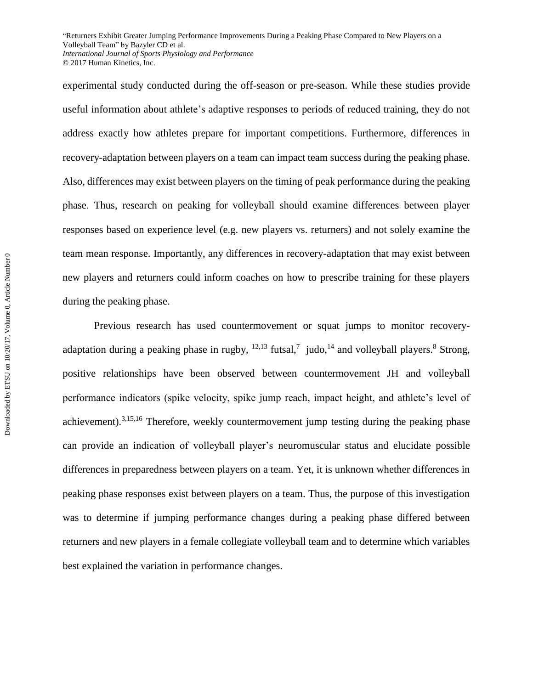experimental study conducted during the off-season or pre-season. While these studies provide useful information about athlete's adaptive responses to periods of reduced training, they do not address exactly how athletes prepare for important competitions. Furthermore, differences in recovery-adaptation between players on a team can impact team success during the peaking phase. Also, differences may exist between players on the timing of peak performance during the peaking phase. Thus, research on peaking for volleyball should examine differences between player responses based on experience level (e.g. new players vs. returners) and not solely examine the team mean response. Importantly, any differences in recovery-adaptation that may exist between new players and returners could inform coaches on how to prescribe training for these players during the peaking phase.

Previous research has used countermovement or squat jumps to monitor recoveryadaptation during a peaking phase in rugby,  $12,13$  futsal,<sup>7</sup> judo,  $14$  and volleyball players.<sup>8</sup> Strong, positive relationships have been observed between countermovement JH and volleyball performance indicators (spike velocity, spike jump reach, impact height, and athlete's level of achievement).3,15,16 Therefore, weekly countermovement jump testing during the peaking phase can provide an indication of volleyball player's neuromuscular status and elucidate possible differences in preparedness between players on a team. Yet, it is unknown whether differences in peaking phase responses exist between players on a team. Thus, the purpose of this investigation was to determine if jumping performance changes during a peaking phase differed between returners and new players in a female collegiate volleyball team and to determine which variables best explained the variation in performance changes.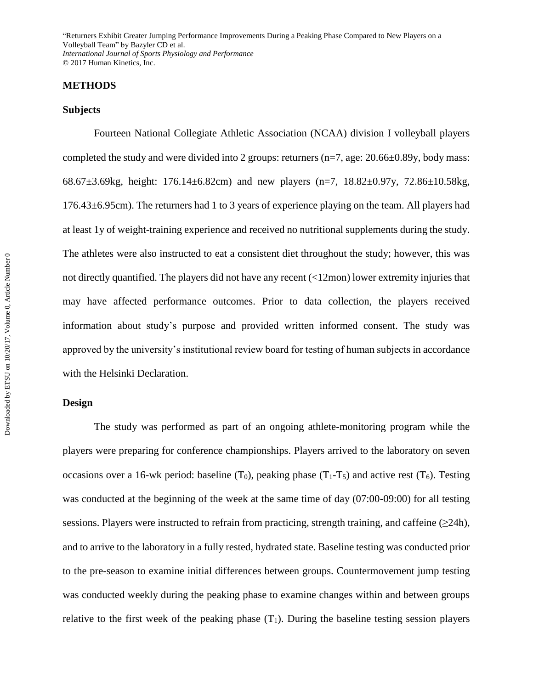## **METHODS**

#### **Subjects**

Fourteen National Collegiate Athletic Association (NCAA) division I volleyball players completed the study and were divided into 2 groups: returners (n=7, age: 20.66±0.89y, body mass: 68.67±3.69kg, height: 176.14±6.82cm) and new players (n=7, 18.82±0.97y, 72.86±10.58kg, 176.43±6.95cm). The returners had 1 to 3 years of experience playing on the team. All players had at least 1y of weight-training experience and received no nutritional supplements during the study. The athletes were also instructed to eat a consistent diet throughout the study; however, this was not directly quantified. The players did not have any recent (<12mon) lower extremity injuries that may have affected performance outcomes. Prior to data collection, the players received information about study's purpose and provided written informed consent. The study was approved by the university's institutional review board for testing of human subjects in accordance with the Helsinki Declaration.

#### **Design**

The study was performed as part of an ongoing athlete-monitoring program while the players were preparing for conference championships. Players arrived to the laboratory on seven occasions over a 16-wk period: baseline (T<sub>0</sub>), peaking phase (T<sub>1</sub>-T<sub>5</sub>) and active rest (T<sub>6</sub>). Testing was conducted at the beginning of the week at the same time of day (07:00-09:00) for all testing sessions. Players were instructed to refrain from practicing, strength training, and caffeine (>24h), and to arrive to the laboratory in a fully rested, hydrated state. Baseline testing was conducted prior to the pre-season to examine initial differences between groups. Countermovement jump testing was conducted weekly during the peaking phase to examine changes within and between groups relative to the first week of the peaking phase  $(T_1)$ . During the baseline testing session players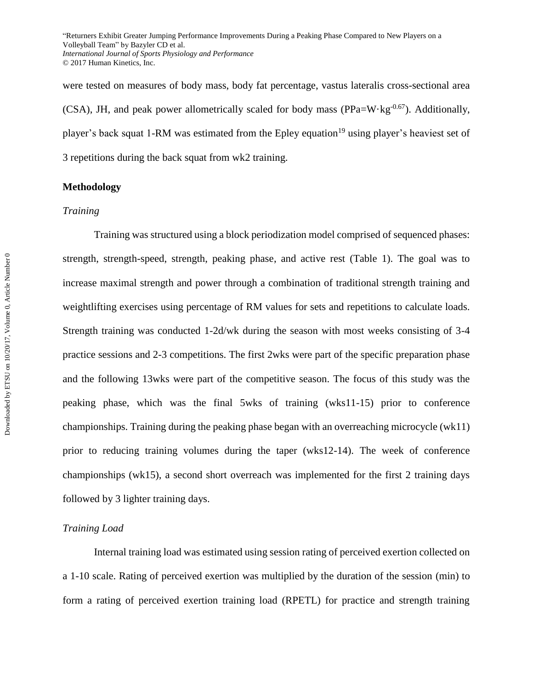were tested on measures of body mass, body fat percentage, vastus lateralis cross-sectional area (CSA), JH, and peak power allometrically scaled for body mass (PPa=W·kg<sup>-0.67</sup>). Additionally, player's back squat 1-RM was estimated from the Epley equation<sup>19</sup> using player's heaviest set of 3 repetitions during the back squat from wk2 training.

## **Methodology**

## *Training*

Training was structured using a block periodization model comprised of sequenced phases: strength, strength-speed, strength, peaking phase, and active rest (Table 1). The goal was to increase maximal strength and power through a combination of traditional strength training and weightlifting exercises using percentage of RM values for sets and repetitions to calculate loads. Strength training was conducted 1-2d/wk during the season with most weeks consisting of 3-4 practice sessions and 2-3 competitions. The first 2wks were part of the specific preparation phase and the following 13wks were part of the competitive season. The focus of this study was the peaking phase, which was the final 5wks of training (wks11-15) prior to conference championships. Training during the peaking phase began with an overreaching microcycle (wk11) prior to reducing training volumes during the taper (wks12-14). The week of conference championships (wk15), a second short overreach was implemented for the first 2 training days followed by 3 lighter training days.

#### *Training Load*

Internal training load was estimated using session rating of perceived exertion collected on a 1-10 scale. Rating of perceived exertion was multiplied by the duration of the session (min) to form a rating of perceived exertion training load (RPETL) for practice and strength training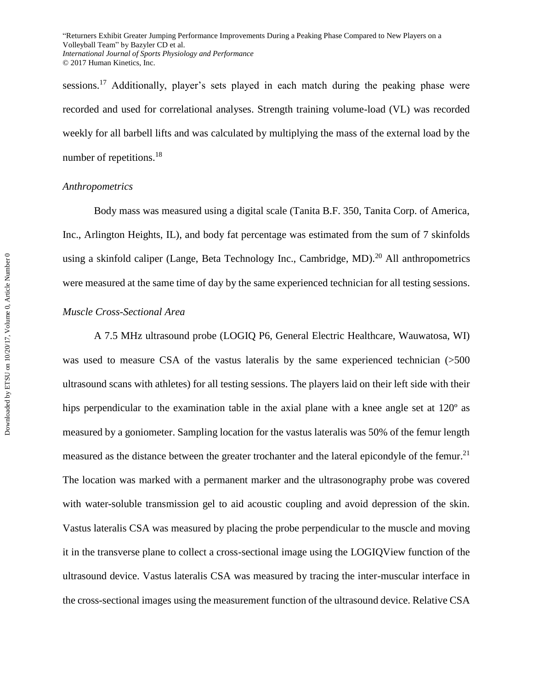sessions.<sup>17</sup> Additionally, player's sets played in each match during the peaking phase were recorded and used for correlational analyses. Strength training volume-load (VL) was recorded weekly for all barbell lifts and was calculated by multiplying the mass of the external load by the number of repetitions.<sup>18</sup>

### *Anthropometrics*

Body mass was measured using a digital scale (Tanita B.F. 350, Tanita Corp. of America, Inc., Arlington Heights, IL), and body fat percentage was estimated from the sum of 7 skinfolds using a skinfold caliper (Lange, Beta Technology Inc., Cambridge, MD).<sup>20</sup> All anthropometrics were measured at the same time of day by the same experienced technician for all testing sessions.

## *Muscle Cross-Sectional Area*

A 7.5 MHz ultrasound probe (LOGIQ P6, General Electric Healthcare, Wauwatosa, WI) was used to measure CSA of the vastus lateralis by the same experienced technician (>500 ultrasound scans with athletes) for all testing sessions. The players laid on their left side with their hips perpendicular to the examination table in the axial plane with a knee angle set at 120<sup>°</sup> as measured by a goniometer. Sampling location for the vastus lateralis was 50% of the femur length measured as the distance between the greater trochanter and the lateral epicondyle of the femur.<sup>21</sup> The location was marked with a permanent marker and the ultrasonography probe was covered with water-soluble transmission gel to aid acoustic coupling and avoid depression of the skin. Vastus lateralis CSA was measured by placing the probe perpendicular to the muscle and moving it in the transverse plane to collect a cross-sectional image using the LOGIQView function of the ultrasound device. Vastus lateralis CSA was measured by tracing the inter-muscular interface in the cross-sectional images using the measurement function of the ultrasound device. Relative CSA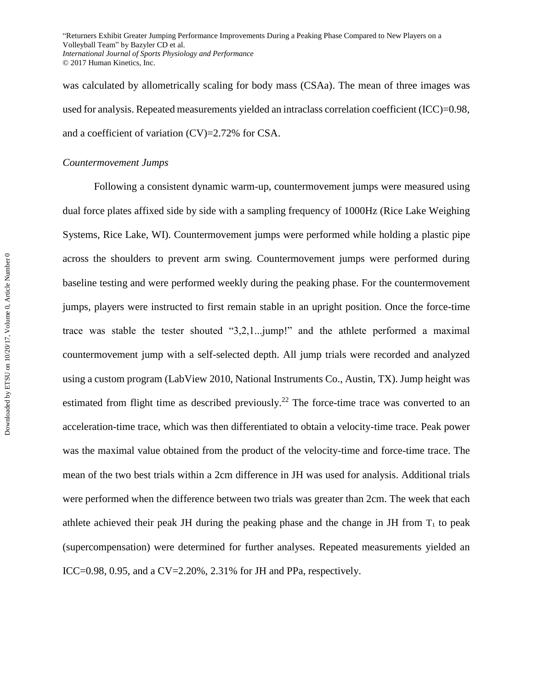was calculated by allometrically scaling for body mass (CSAa). The mean of three images was used for analysis. Repeated measurements yielded an intraclass correlation coefficient (ICC)=0.98, and a coefficient of variation (CV)=2.72% for CSA.

## *Countermovement Jumps*

Following a consistent dynamic warm-up, countermovement jumps were measured using dual force plates affixed side by side with a sampling frequency of 1000Hz (Rice Lake Weighing Systems, Rice Lake, WI). Countermovement jumps were performed while holding a plastic pipe across the shoulders to prevent arm swing. Countermovement jumps were performed during baseline testing and were performed weekly during the peaking phase. For the countermovement jumps, players were instructed to first remain stable in an upright position. Once the force-time trace was stable the tester shouted "3,2,1...jump!" and the athlete performed a maximal countermovement jump with a self-selected depth. All jump trials were recorded and analyzed using a custom program (LabView 2010, National Instruments Co., Austin, TX). Jump height was estimated from flight time as described previously.<sup>22</sup> The force-time trace was converted to an acceleration-time trace, which was then differentiated to obtain a velocity-time trace. Peak power was the maximal value obtained from the product of the velocity-time and force-time trace. The mean of the two best trials within a 2cm difference in JH was used for analysis. Additional trials were performed when the difference between two trials was greater than 2cm. The week that each athlete achieved their peak JH during the peaking phase and the change in JH from  $T_1$  to peak (supercompensation) were determined for further analyses. Repeated measurements yielded an ICC=0.98, 0.95, and a CV=2.20%, 2.31% for JH and PPa, respectively.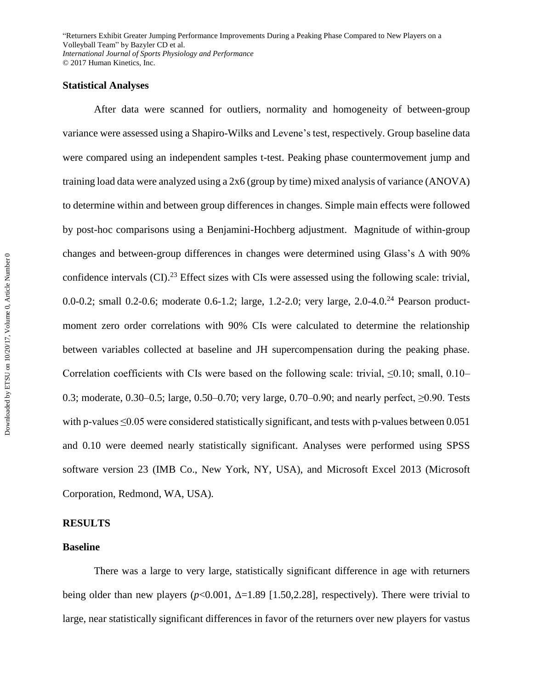## **Statistical Analyses**

After data were scanned for outliers, normality and homogeneity of between-group variance were assessed using a Shapiro-Wilks and Levene's test, respectively. Group baseline data were compared using an independent samples t-test. Peaking phase countermovement jump and training load data were analyzed using a 2x6 (group by time) mixed analysis of variance (ANOVA) to determine within and between group differences in changes. Simple main effects were followed by post-hoc comparisons using a Benjamini-Hochberg adjustment. Magnitude of within-group changes and between-group differences in changes were determined using Glass's Δ with 90% confidence intervals (CI).<sup>23</sup> Effect sizes with CIs were assessed using the following scale: trivial, 0.0-0.2; small 0.2-0.6; moderate 0.6-1.2; large, 1.2-2.0; very large, 2.0-4.0.<sup>24</sup> Pearson productmoment zero order correlations with 90% CIs were calculated to determine the relationship between variables collected at baseline and JH supercompensation during the peaking phase. Correlation coefficients with CIs were based on the following scale: trivial,  $\leq 0.10$ ; small, 0.10– 0.3; moderate, 0.30–0.5; large, 0.50–0.70; very large, 0.70–0.90; and nearly perfect,  $\geq$ 0.90. Tests with p-values ≤0.05 were considered statistically significant, and tests with p-values between 0.051 and 0.10 were deemed nearly statistically significant. Analyses were performed using SPSS software version 23 (IMB Co., New York, NY, USA), and Microsoft Excel 2013 (Microsoft Corporation, Redmond, WA, USA).

## **RESULTS**

## **Baseline**

There was a large to very large, statistically significant difference in age with returners being older than new players ( $p<0.001$ ,  $\Delta=1.89$  [1.50,2.28], respectively). There were trivial to large, near statistically significant differences in favor of the returners over new players for vastus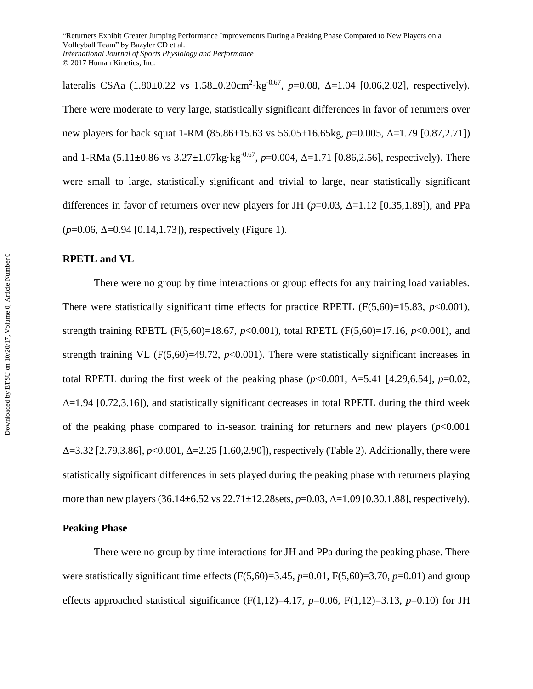lateralis CSAa (1.80±0.22 vs 1.58±0.20cm<sup>2</sup>·kg<sup>-0.67</sup>, p=0.08, Δ=1.04 [0.06,2.02], respectively). There were moderate to very large, statistically significant differences in favor of returners over new players for back squat 1-RM (85.86±15.63 vs 56.05±16.65kg, *p*=0.005, Δ=1.79 [0.87,2.71]) and 1-RMa (5.11±0.86 vs 3.27±1.07kg·kg<sup>-0.67</sup>, p=0.004, Δ=1.71 [0.86,2.56], respectively). There were small to large, statistically significant and trivial to large, near statistically significant differences in favor of returners over new players for JH ( $p=0.03$ ,  $\Delta=1.12$  [0.35,1.89]), and PPa (*p*=0.06, Δ=0.94 [0.14,1.73]), respectively (Figure 1).

# **RPETL and VL**

There were no group by time interactions or group effects for any training load variables. There were statistically significant time effects for practice RPETL  $(F(5,60)=15.83, p<0.001)$ , strength training RPETL (F(5,60)=18.67, *p*<0.001), total RPETL (F(5,60)=17.16, *p*<0.001), and strength training VL  $(F(5,60)=49.72, p<0.001)$ . There were statistically significant increases in total RPETL during the first week of the peaking phase  $(p<0.001, \Delta=5.41$  [4.29,6.54],  $p=0.02$ .  $\Delta$ =1.94 [0.72,3.16]), and statistically significant decreases in total RPETL during the third week of the peaking phase compared to in-season training for returners and new players  $(p<0.001$ Δ=3.32 [2.79,3.86], *p*<0.001, Δ=2.25 [1.60,2.90]), respectively (Table 2). Additionally, there were statistically significant differences in sets played during the peaking phase with returners playing more than new players (36.14±6.52 vs 22.71±12.28sets, *p*=0.03, Δ=1.09 [0.30,1.88], respectively).

## **Peaking Phase**

There were no group by time interactions for JH and PPa during the peaking phase. There were statistically significant time effects  $(F(5,60)=3.45, p=0.01, F(5,60)=3.70, p=0.01)$  and group effects approached statistical significance  $(F(1,12)=4.17, p=0.06, F(1,12)=3.13, p=0.10)$  for JH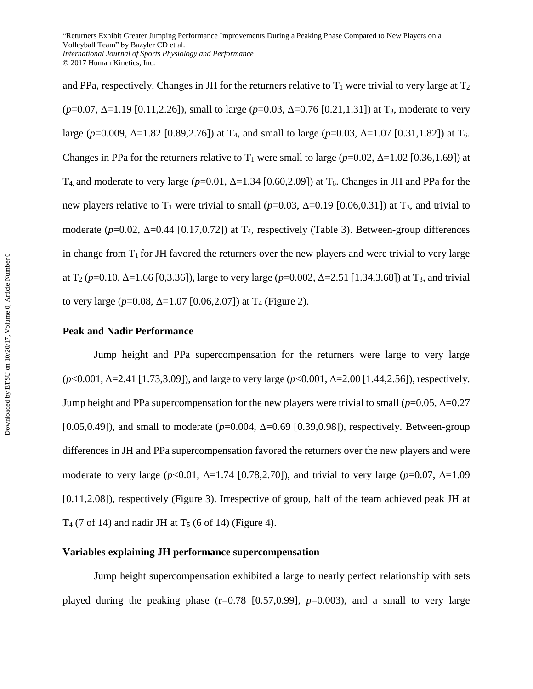and PPa, respectively. Changes in JH for the returners relative to  $T_1$  were trivial to very large at  $T_2$ (*p*=0.07, Δ=1.19 [0.11,2.26]), small to large (*p*=0.03, Δ=0.76 [0.21,1.31]) at T3, moderate to very large (*p*=0.009, Δ=1.82 [0.89,2.76]) at T4, and small to large (*p*=0.03, Δ=1.07 [0.31,1.82]) at T6. Changes in PPa for the returners relative to  $T_1$  were small to large ( $p=0.02$ ,  $\Delta=1.02$  [0.36,1.69]) at T<sub>4</sub>, and moderate to very large ( $p=0.01$ ,  $\Delta=1.34$  [0.60,2.09]) at T<sub>6</sub>. Changes in JH and PPa for the new players relative to  $T_1$  were trivial to small ( $p=0.03$ ,  $\Delta=0.19$  [0.06,0.31]) at  $T_3$ , and trivial to moderate  $(p=0.02, \Delta=0.44$  [0.17,0.72]) at T<sub>4</sub>, respectively (Table 3). Between-group differences in change from  $T_1$  for JH favored the returners over the new players and were trivial to very large at  $T_2$  ( $p=0.10$ ,  $\Delta=1.66$  [0,3.36]), large to very large ( $p=0.002$ ,  $\Delta=2.51$  [1.34,3.68]) at T<sub>3</sub>, and trivial to very large  $(p=0.08, \Delta=1.07$  [0.06,2.07]) at T<sub>4</sub> (Figure 2).

## **Peak and Nadir Performance**

Jump height and PPa supercompensation for the returners were large to very large (*p*<0.001, Δ=2.41 [1.73,3.09]), and large to very large (*p*<0.001, Δ=2.00 [1.44,2.56]), respectively. Jump height and PPa supercompensation for the new players were trivial to small (*p*=0.05, Δ=0.27 [0.05,0.49]), and small to moderate  $(p=0.004, \Delta=0.69$  [0.39,0.98]), respectively. Between-group differences in JH and PPa supercompensation favored the returners over the new players and were moderate to very large (*p*<0.01, Δ=1.74 [0.78,2.70]), and trivial to very large (*p*=0.07, Δ=1.09 [0.11,2.08]), respectively (Figure 3). Irrespective of group, half of the team achieved peak JH at  $T_4$  (7 of 14) and nadir JH at  $T_5$  (6 of 14) (Figure 4).

# **Variables explaining JH performance supercompensation**

Jump height supercompensation exhibited a large to nearly perfect relationship with sets played during the peaking phase  $(r=0.78 \, [0.57, 0.99], p=0.003)$ , and a small to very large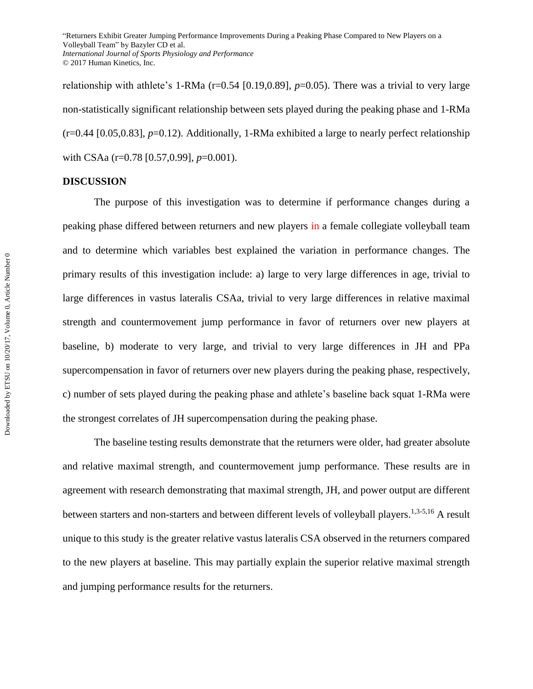relationship with athlete's 1-RMa (r=0.54 [0.19,0.89], p=0.05). There was a trivial to very large non-statistically significant relationship between sets played during the peaking phase and 1-RMa (r=0.44 [0.05,0.83], *p*=0.12). Additionally, 1-RMa exhibited a large to nearly perfect relationship with CSAa (r=0.78 [0.57,0.99], *p*=0.001).

#### **DISCUSSION**

The purpose of this investigation was to determine if performance changes during a peaking phase differed between returners and new players in a female collegiate volleyball team and to determine which variables best explained the variation in performance changes. The primary results of this investigation include: a) large to very large differences in age, trivial to large differences in vastus lateralis CSAa, trivial to very large differences in relative maximal strength and countermovement jump performance in favor of returners over new players at baseline, b) moderate to very large, and trivial to very large differences in JH and PPa supercompensation in favor of returners over new players during the peaking phase, respectively, c) number of sets played during the peaking phase and athlete's baseline back squat 1-RMa were the strongest correlates of JH supercompensation during the peaking phase.

The baseline testing results demonstrate that the returners were older, had greater absolute and relative maximal strength, and countermovement jump performance. These results are in agreement with research demonstrating that maximal strength, JH, and power output are different between starters and non-starters and between different levels of volleyball players.<sup>1,3-5,16</sup> A result unique to this study is the greater relative vastus lateralis CSA observed in the returners compared to the new players at baseline. This may partially explain the superior relative maximal strength and jumping performance results for the returners.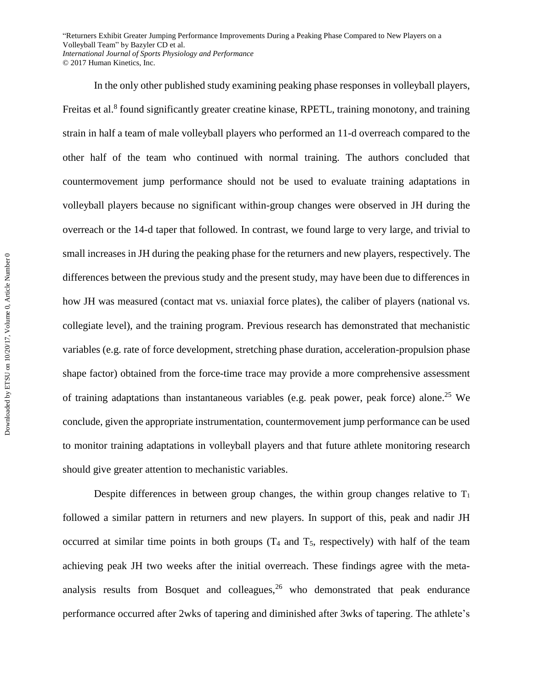In the only other published study examining peaking phase responses in volleyball players, Freitas et al.<sup>8</sup> found significantly greater creatine kinase, RPETL, training monotony, and training strain in half a team of male volleyball players who performed an 11-d overreach compared to the other half of the team who continued with normal training. The authors concluded that countermovement jump performance should not be used to evaluate training adaptations in volleyball players because no significant within-group changes were observed in JH during the overreach or the 14-d taper that followed. In contrast, we found large to very large, and trivial to small increases in JH during the peaking phase for the returners and new players, respectively. The differences between the previous study and the present study, may have been due to differences in how JH was measured (contact mat vs. uniaxial force plates), the caliber of players (national vs. collegiate level), and the training program. Previous research has demonstrated that mechanistic variables (e.g. rate of force development, stretching phase duration, acceleration-propulsion phase shape factor) obtained from the force-time trace may provide a more comprehensive assessment of training adaptations than instantaneous variables (e.g. peak power, peak force) alone. <sup>25</sup> We conclude, given the appropriate instrumentation, countermovement jump performance can be used to monitor training adaptations in volleyball players and that future athlete monitoring research should give greater attention to mechanistic variables.

Despite differences in between group changes, the within group changes relative to  $T_1$ followed a similar pattern in returners and new players. In support of this, peak and nadir JH occurred at similar time points in both groups  $(T_4$  and  $T_5$ , respectively) with half of the team achieving peak JH two weeks after the initial overreach. These findings agree with the metaanalysis results from Bosquet and colleagues,  $26$  who demonstrated that peak endurance performance occurred after 2wks of tapering and diminished after 3wks of tapering. The athlete's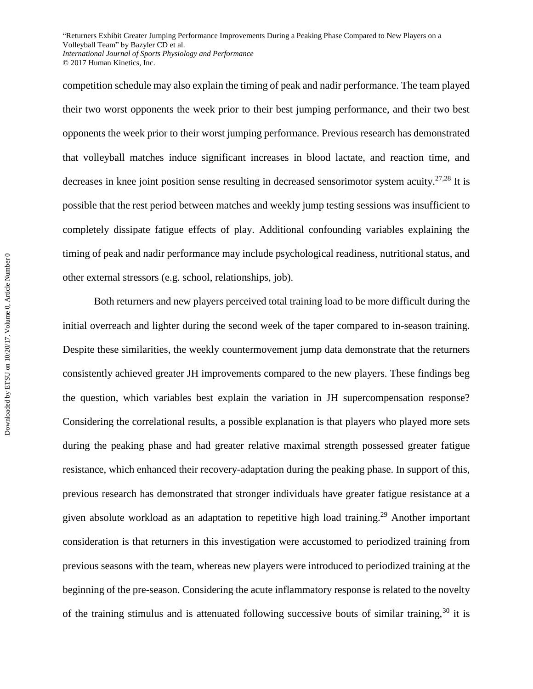competition schedule may also explain the timing of peak and nadir performance. The team played their two worst opponents the week prior to their best jumping performance, and their two best opponents the week prior to their worst jumping performance. Previous research has demonstrated that volleyball matches induce significant increases in blood lactate, and reaction time, and decreases in knee joint position sense resulting in decreased sensorimotor system acuity.<sup>27,28</sup> It is possible that the rest period between matches and weekly jump testing sessions was insufficient to completely dissipate fatigue effects of play. Additional confounding variables explaining the timing of peak and nadir performance may include psychological readiness, nutritional status, and other external stressors (e.g. school, relationships, job).

Both returners and new players perceived total training load to be more difficult during the initial overreach and lighter during the second week of the taper compared to in-season training. Despite these similarities, the weekly countermovement jump data demonstrate that the returners consistently achieved greater JH improvements compared to the new players. These findings beg the question, which variables best explain the variation in JH supercompensation response? Considering the correlational results, a possible explanation is that players who played more sets during the peaking phase and had greater relative maximal strength possessed greater fatigue resistance, which enhanced their recovery-adaptation during the peaking phase. In support of this, previous research has demonstrated that stronger individuals have greater fatigue resistance at a given absolute workload as an adaptation to repetitive high load training.<sup>29</sup> Another important consideration is that returners in this investigation were accustomed to periodized training from previous seasons with the team, whereas new players were introduced to periodized training at the beginning of the pre-season. Considering the acute inflammatory response is related to the novelty of the training stimulus and is attenuated following successive bouts of similar training,  $30$  it is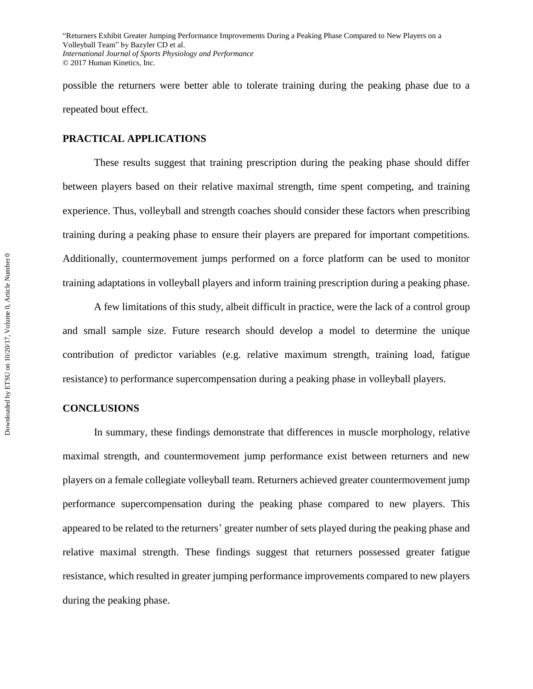possible the returners were better able to tolerate training during the peaking phase due to a repeated bout effect.

## **PRACTICAL APPLICATIONS**

These results suggest that training prescription during the peaking phase should differ between players based on their relative maximal strength, time spent competing, and training experience. Thus, volleyball and strength coaches should consider these factors when prescribing training during a peaking phase to ensure their players are prepared for important competitions. Additionally, countermovement jumps performed on a force platform can be used to monitor training adaptations in volleyball players and inform training prescription during a peaking phase.

A few limitations of this study, albeit difficult in practice, were the lack of a control group and small sample size. Future research should develop a model to determine the unique contribution of predictor variables (e.g. relative maximum strength, training load, fatigue resistance) to performance supercompensation during a peaking phase in volleyball players.

#### **CONCLUSIONS**

In summary, these findings demonstrate that differences in muscle morphology, relative maximal strength, and countermovement jump performance exist between returners and new players on a female collegiate volleyball team. Returners achieved greater countermovement jump performance supercompensation during the peaking phase compared to new players. This appeared to be related to the returners' greater number of sets played during the peaking phase and relative maximal strength. These findings suggest that returners possessed greater fatigue resistance, which resulted in greater jumping performance improvements compared to new players during the peaking phase.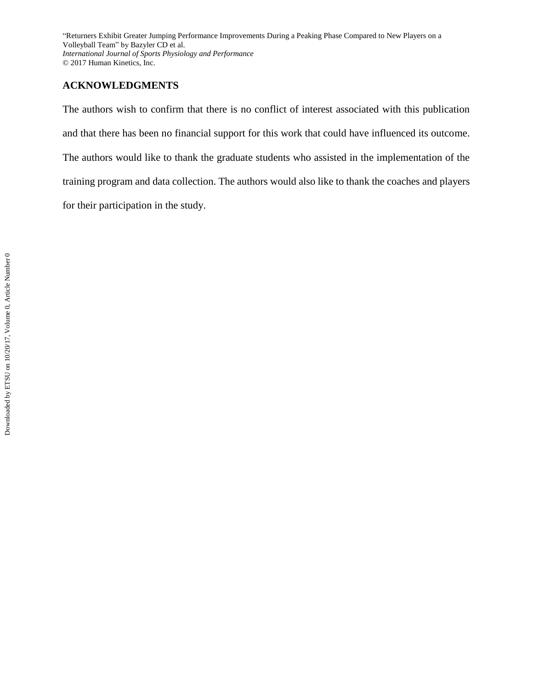# **ACKNOWLEDGMENTS**

The authors wish to confirm that there is no conflict of interest associated with this publication and that there has been no financial support for this work that could have influenced its outcome. The authors would like to thank the graduate students who assisted in the implementation of the training program and data collection. The authors would also like to thank the coaches and players for their participation in the study.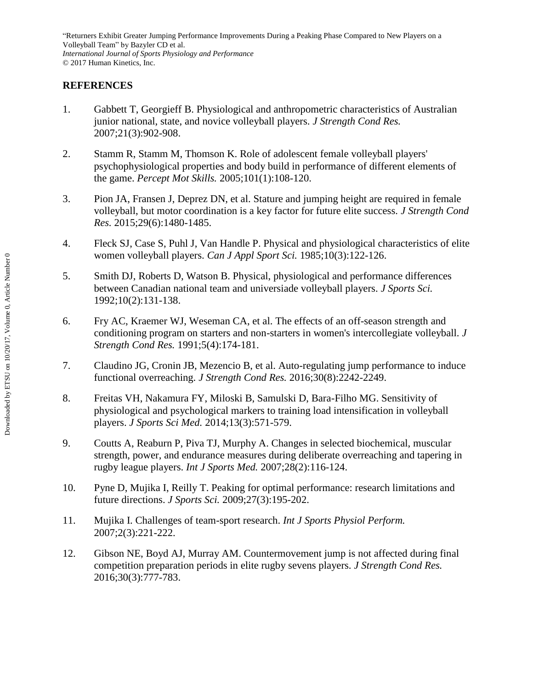# **REFERENCES**

- 1. Gabbett T, Georgieff B. Physiological and anthropometric characteristics of Australian junior national, state, and novice volleyball players. *J Strength Cond Res.*  2007;21(3):902-908.
- 2. Stamm R, Stamm M, Thomson K. Role of adolescent female volleyball players' psychophysiological properties and body build in performance of different elements of the game. *Percept Mot Skills.* 2005;101(1):108-120.
- 3. Pion JA, Fransen J, Deprez DN, et al. Stature and jumping height are required in female volleyball, but motor coordination is a key factor for future elite success. *J Strength Cond Res.* 2015;29(6):1480-1485.
- 4. Fleck SJ, Case S, Puhl J, Van Handle P. Physical and physiological characteristics of elite women volleyball players. *Can J Appl Sport Sci.* 1985;10(3):122-126.
- 5. Smith DJ, Roberts D, Watson B. Physical, physiological and performance differences between Canadian national team and universiade volleyball players. *J Sports Sci.*  1992;10(2):131-138.
- 6. Fry AC, Kraemer WJ, Weseman CA, et al. The effects of an off-season strength and conditioning program on starters and non-starters in women's intercollegiate volleyball. *J Strength Cond Res.* 1991;5(4):174-181.
- 7. Claudino JG, Cronin JB, Mezencio B, et al. Auto-regulating jump performance to induce functional overreaching. *J Strength Cond Res.* 2016;30(8):2242-2249.
- 8. Freitas VH, Nakamura FY, Miloski B, Samulski D, Bara-Filho MG. Sensitivity of physiological and psychological markers to training load intensification in volleyball players. *J Sports Sci Med.* 2014;13(3):571-579.
- 9. Coutts A, Reaburn P, Piva TJ, Murphy A. Changes in selected biochemical, muscular strength, power, and endurance measures during deliberate overreaching and tapering in rugby league players. *Int J Sports Med.* 2007;28(2):116-124.
- 10. Pyne D, Mujika I, Reilly T. Peaking for optimal performance: research limitations and future directions. *J Sports Sci.* 2009;27(3):195-202.
- 11. Mujika I. Challenges of team-sport research. *Int J Sports Physiol Perform.*  2007;2(3):221-222.
- 12. Gibson NE, Boyd AJ, Murray AM. Countermovement jump is not affected during final competition preparation periods in elite rugby sevens players. *J Strength Cond Res.*  2016;30(3):777-783.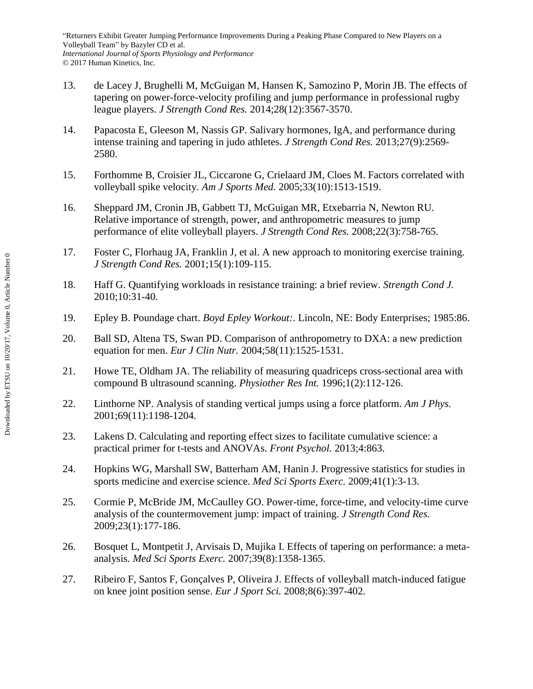- 13. de Lacey J, Brughelli M, McGuigan M, Hansen K, Samozino P, Morin JB. The effects of tapering on power-force-velocity profiling and jump performance in professional rugby league players. *J Strength Cond Res.* 2014;28(12):3567-3570.
- 14. Papacosta E, Gleeson M, Nassis GP. Salivary hormones, IgA, and performance during intense training and tapering in judo athletes. *J Strength Cond Res.* 2013;27(9):2569- 2580.
- 15. Forthomme B, Croisier JL, Ciccarone G, Crielaard JM, Cloes M. Factors correlated with volleyball spike velocity. *Am J Sports Med.* 2005;33(10):1513-1519.
- 16. Sheppard JM, Cronin JB, Gabbett TJ, McGuigan MR, Etxebarria N, Newton RU. Relative importance of strength, power, and anthropometric measures to jump performance of elite volleyball players. *J Strength Cond Res.* 2008;22(3):758-765.
- 17. Foster C, Florhaug JA, Franklin J, et al. A new approach to monitoring exercise training. *J Strength Cond Res.* 2001;15(1):109-115.
- 18. Haff G. Quantifying workloads in resistance training: a brief review. *Strength Cond J.*  2010;10:31-40.
- 19. Epley B. Poundage chart. *Boyd Epley Workout:*. Lincoln, NE: Body Enterprises; 1985:86.
- 20. Ball SD, Altena TS, Swan PD. Comparison of anthropometry to DXA: a new prediction equation for men. *Eur J Clin Nutr.* 2004;58(11):1525-1531.
- 21. Howe TE, Oldham JA. The reliability of measuring quadriceps cross-sectional area with compound B ultrasound scanning. *Physiother Res Int.* 1996;1(2):112-126.
- 22. Linthorne NP. Analysis of standing vertical jumps using a force platform. *Am J Phys.*  2001;69(11):1198-1204.
- 23. Lakens D. Calculating and reporting effect sizes to facilitate cumulative science: a practical primer for t-tests and ANOVAs. *Front Psychol.* 2013;4:863.
- 24. Hopkins WG, Marshall SW, Batterham AM, Hanin J. Progressive statistics for studies in sports medicine and exercise science. *Med Sci Sports Exerc.* 2009;41(1):3-13.
- 25. Cormie P, McBride JM, McCaulley GO. Power-time, force-time, and velocity-time curve analysis of the countermovement jump: impact of training. *J Strength Cond Res.*  2009;23(1):177-186.
- 26. Bosquet L, Montpetit J, Arvisais D, Mujika I. Effects of tapering on performance: a metaanalysis. *Med Sci Sports Exerc.* 2007;39(8):1358-1365.
- 27. Ribeiro F, Santos F, Gonçalves P, Oliveira J. Effects of volleyball match-induced fatigue on knee joint position sense. *Eur J Sport Sci.* 2008;8(6):397-402.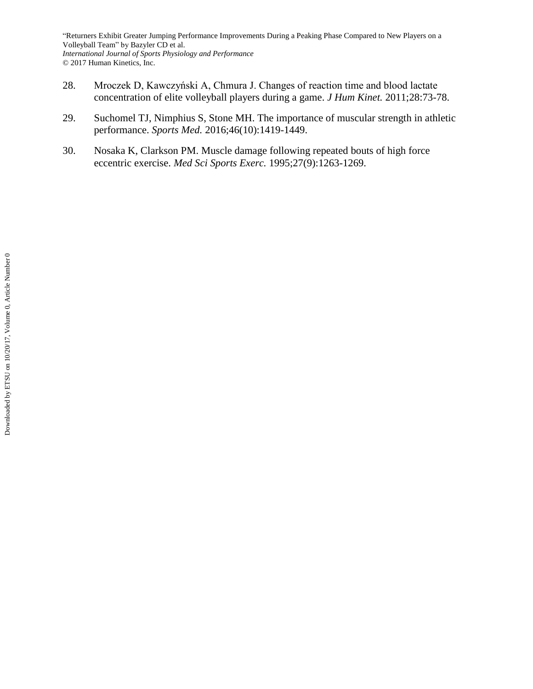- 28. Mroczek D, Kawczyński A, Chmura J. Changes of reaction time and blood lactate concentration of elite volleyball players during a game. *J Hum Kinet.* 2011;28:73-78.
- 29. Suchomel TJ, Nimphius S, Stone MH. The importance of muscular strength in athletic performance. *Sports Med.* 2016;46(10):1419-1449.
- 30. Nosaka K, Clarkson PM. Muscle damage following repeated bouts of high force eccentric exercise. *Med Sci Sports Exerc.* 1995;27(9):1263-1269.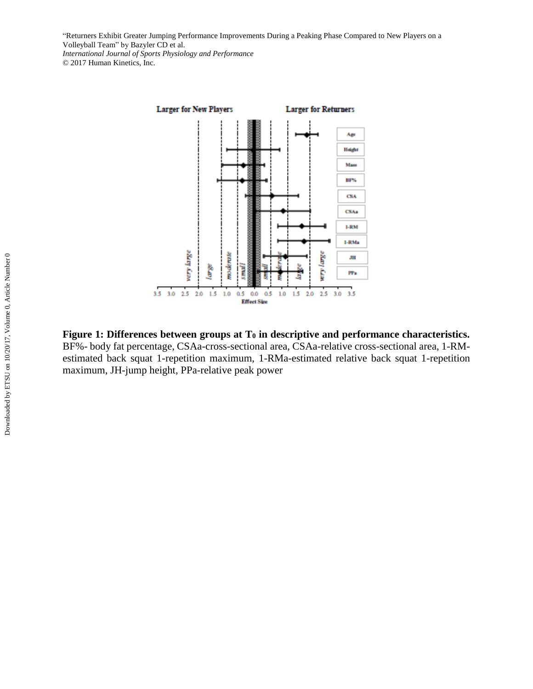

**Figure 1: Differences between groups at T<sup>0</sup> in descriptive and performance characteristics.**  BF%- body fat percentage, CSAa-cross-sectional area, CSAa-relative cross-sectional area, 1-RMestimated back squat 1-repetition maximum, 1-RMa-estimated relative back squat 1-repetition maximum, JH-jump height, PPa-relative peak power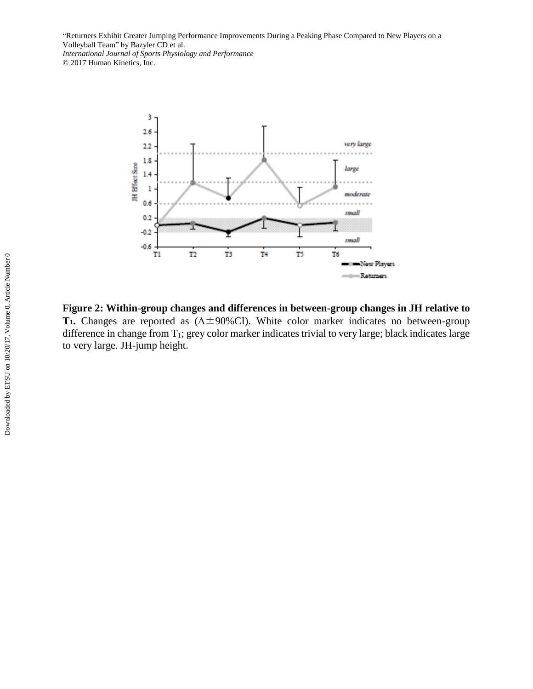

**Figure 2: Within-group changes and differences in between-group changes in JH relative to T<sub>1</sub>.** Changes are reported as ( $\Delta \pm 90\%$ CI). White color marker indicates no between-group difference in change from T<sub>1</sub>; grey color marker indicates trivial to very large; black indicates large to very large. JH-jump height.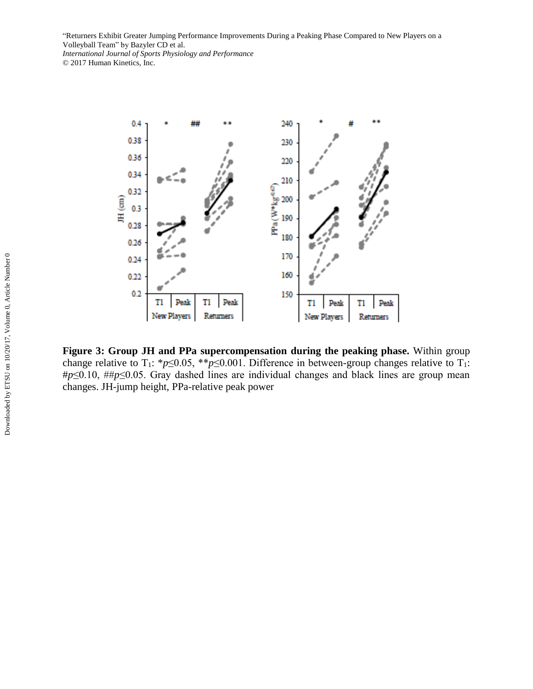

**Figure 3: Group JH and PPa supercompensation during the peaking phase.** Within group change relative to T<sub>1</sub>: \**p*≤0.05, \*\**p*≤0.001. Difference in between-group changes relative to T<sub>1</sub>: #*p*≤0.10, ##*p*≤0.05. Gray dashed lines are individual changes and black lines are group mean changes. JH-jump height, PPa-relative peak power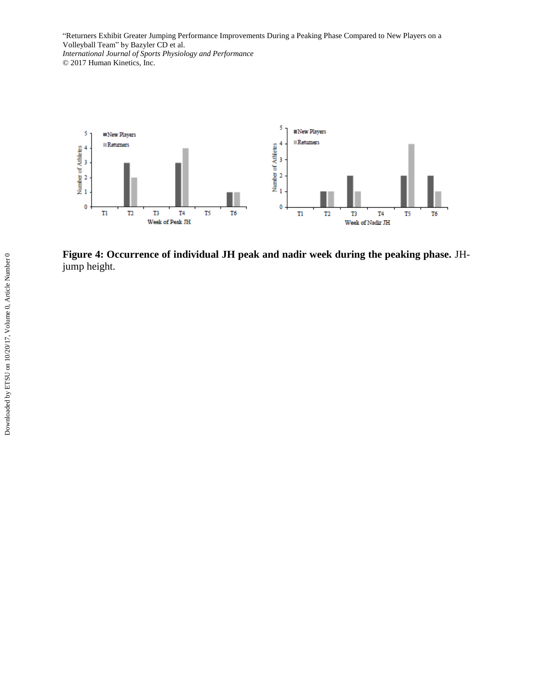

**Figure 4: Occurrence of individual JH peak and nadir week during the peaking phase.** JHjump height.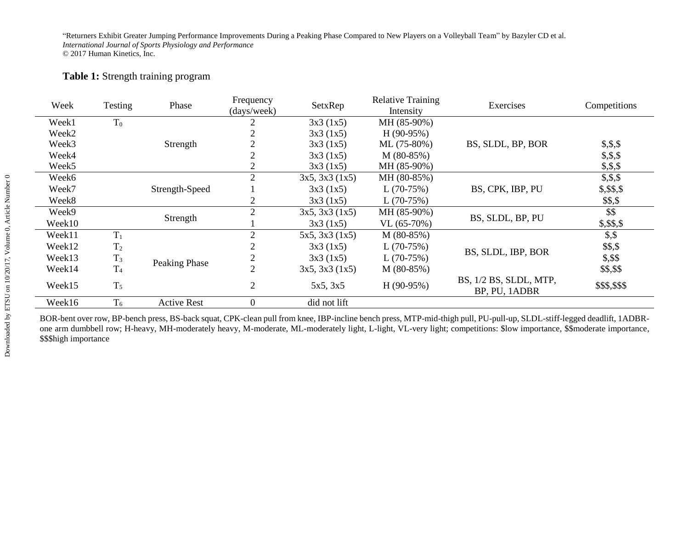# **Table 1:** Strength training program

| Week              | Testing        | Phase              | Frequency<br>(days/week) | SetxRep        | <b>Relative Training</b><br>Intensity | Exercises                               | Competitions  |
|-------------------|----------------|--------------------|--------------------------|----------------|---------------------------------------|-----------------------------------------|---------------|
| Week1             | $T_0$          |                    |                          | 3x3(1x5)       | MH (85-90%)                           |                                         |               |
| Week <sub>2</sub> |                |                    |                          | 3x3(1x5)       | $H(90-95%)$                           |                                         |               |
| Week3             |                | Strength           |                          | 3x3(1x5)       | $ML (75-80%)$                         | BS, SLDL, BP, BOR                       | \$, \$, \$    |
| Week4             |                |                    |                          | 3x3(1x5)       | $M(80-85%)$                           |                                         | \$, \$, \$    |
| Week5             |                |                    | 2                        | 3x3(1x5)       | MH (85-90%)                           |                                         | \$, \$, \$    |
| Week <sub>6</sub> |                |                    | 2                        | 3x5, 3x3(1x5)  | MH (80-85%)                           |                                         | \$, \$, \$    |
| Week7             |                | Strength-Speed     |                          | 3x3(1x5)       | $L(70-75%)$                           | BS, CPK, IBP, PU                        | \$,\$\$,\$    |
| Week8             |                |                    | 2                        | 3x3(1x5)       | $L(70-75%)$                           |                                         | \$\$,\$       |
| Week9             |                | Strength           | 2                        | 3x5, 3x3(1x5)  | MH (85-90%)                           | BS, SLDL, BP, PU                        | \$\$          |
| Week10            |                |                    |                          | 3x3(1x5)       | $VL(65-70%)$                          |                                         | \$, \$\$, \$  |
| Week11            | $T_1$          |                    | $\overline{2}$           | 5x5, 3x3 (1x5) | M (80-85%)                            |                                         | $\$ {5,5}     |
| Week12            | T <sub>2</sub> |                    |                          | 3x3(1x5)       | $L(70-75%)$                           | BS, SLDL, IBP, BOR                      | \$\$,\$       |
| Week13            | $T_3$          | Peaking Phase      |                          | 3x3(1x5)       | $L(70-75%)$                           |                                         | \$,\$\$       |
| Week14            | T <sub>4</sub> |                    | $\overline{2}$           | 3x5, 3x3(1x5)  | $M(80-85%)$                           |                                         | \$\$,\$\$     |
| Week15            | $T_5$          |                    | $\overline{2}$           | 5x5, 3x5       | $H(90-95%)$                           | BS, 1/2 BS, SLDL, MTP,<br>BP, PU, 1ADBR | \$\$\$,\$\$\$ |
| Week16            | $T_6$          | <b>Active Rest</b> | $\boldsymbol{0}$         | did not lift   |                                       |                                         |               |

BOR-bent over row, BP-bench press, BS-back squat, CPK-clean pull from knee, IBP-incline bench press, MTP-mid-thigh pull, PU-pull-up, SLDL-stiff-legged deadlift, 1ADBRone arm dumbbell row; H-heavy, MH-moderately heavy, M-moderate, ML-moderately light, L-light, VL-very light; competitions: \$low importance, \$\$moderate importance, \$\$\$high importance